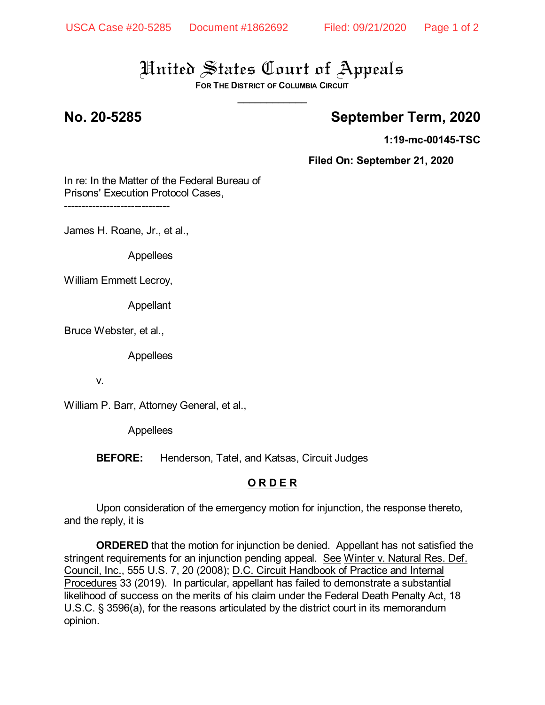# United States Court of Appeals

**FOR THE DISTRICT OF COLUMBIA CIRCUIT** \_\_\_\_\_\_\_\_\_\_\_\_

## **No. 20-5285 September Term, 2020**

**1:19-mc-00145-TSC**

**Filed On: September 21, 2020**

In re: In the Matter of the Federal Bureau of Prisons' Execution Protocol Cases,

------------------------------

James H. Roane, Jr., et al.,

Appellees

William Emmett Lecroy,

Appellant

Bruce Webster, et al.,

Appellees

v.

William P. Barr, Attorney General, et al.,

Appellees

**BEFORE:** Henderson, Tatel, and Katsas, Circuit Judges

### **O R D E R**

Upon consideration of the emergency motion for injunction, the response thereto, and the reply, it is

**ORDERED** that the motion for injunction be denied. Appellant has not satisfied the stringent requirements for an injunction pending appeal. See Winter v. Natural Res. Def. Council, Inc., 555 U.S. 7, 20 (2008); D.C. Circuit Handbook of Practice and Internal Procedures 33 (2019). In particular, appellant has failed to demonstrate a substantial likelihood of success on the merits of his claim under the Federal Death Penalty Act, 18 U.S.C. § 3596(a), for the reasons articulated by the district court in its memorandum opinion.